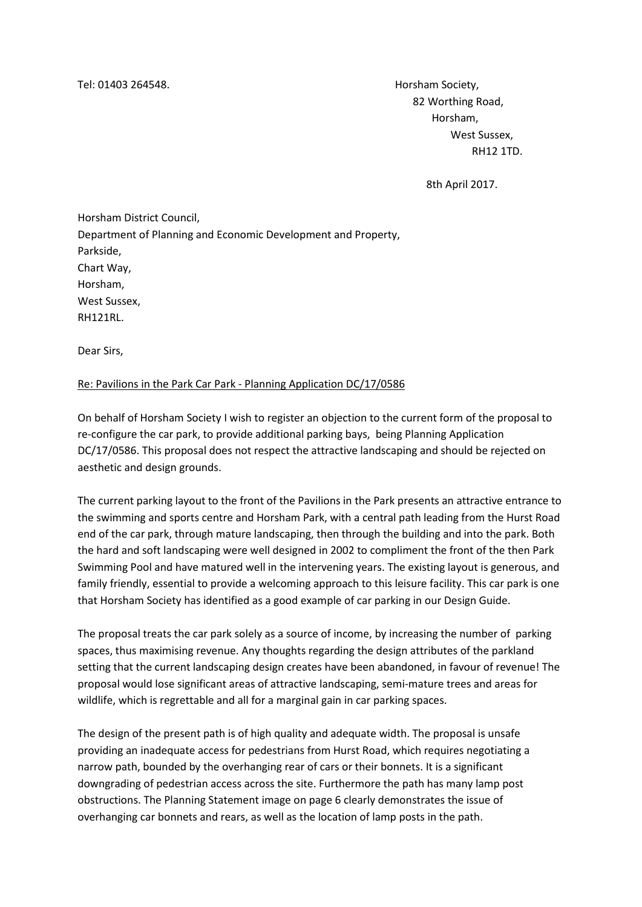Tel: 01403 264548. Horsham Society,

 82 Worthing Road, Horsham, West Sussex, RH12 1TD.

8th April 2017.

Horsham District Council, Department of Planning and Economic Development and Property, Parkside, Chart Way, Horsham, West Sussex, RH121RL.

Dear Sirs,

Re: Pavilions in the Park Car Park - Planning Application DC/17/0586

On behalf of Horsham Society I wish to register an objection to the current form of the proposal to re-configure the car park, to provide additional parking bays, being Planning Application DC/17/0586. This proposal does not respect the attractive landscaping and should be rejected on aesthetic and design grounds.

The current parking layout to the front of the Pavilions in the Park presents an attractive entrance to the swimming and sports centre and Horsham Park, with a central path leading from the Hurst Road end of the car park, through mature landscaping, then through the building and into the park. Both the hard and soft landscaping were well designed in 2002 to compliment the front of the then Park Swimming Pool and have matured well in the intervening years. The existing layout is generous, and family friendly, essential to provide a welcoming approach to this leisure facility. This car park is one that Horsham Society has identified as a good example of car parking in our Design Guide.

The proposal treats the car park solely as a source of income, by increasing the number of parking spaces, thus maximising revenue. Any thoughts regarding the design attributes of the parkland setting that the current landscaping design creates have been abandoned, in favour of revenue! The proposal would lose significant areas of attractive landscaping, semi-mature trees and areas for wildlife, which is regrettable and all for a marginal gain in car parking spaces.

The design of the present path is of high quality and adequate width. The proposal is unsafe providing an inadequate access for pedestrians from Hurst Road, which requires negotiating a narrow path, bounded by the overhanging rear of cars or their bonnets. It is a significant downgrading of pedestrian access across the site. Furthermore the path has many lamp post obstructions. The Planning Statement image on page 6 clearly demonstrates the issue of overhanging car bonnets and rears, as well as the location of lamp posts in the path.